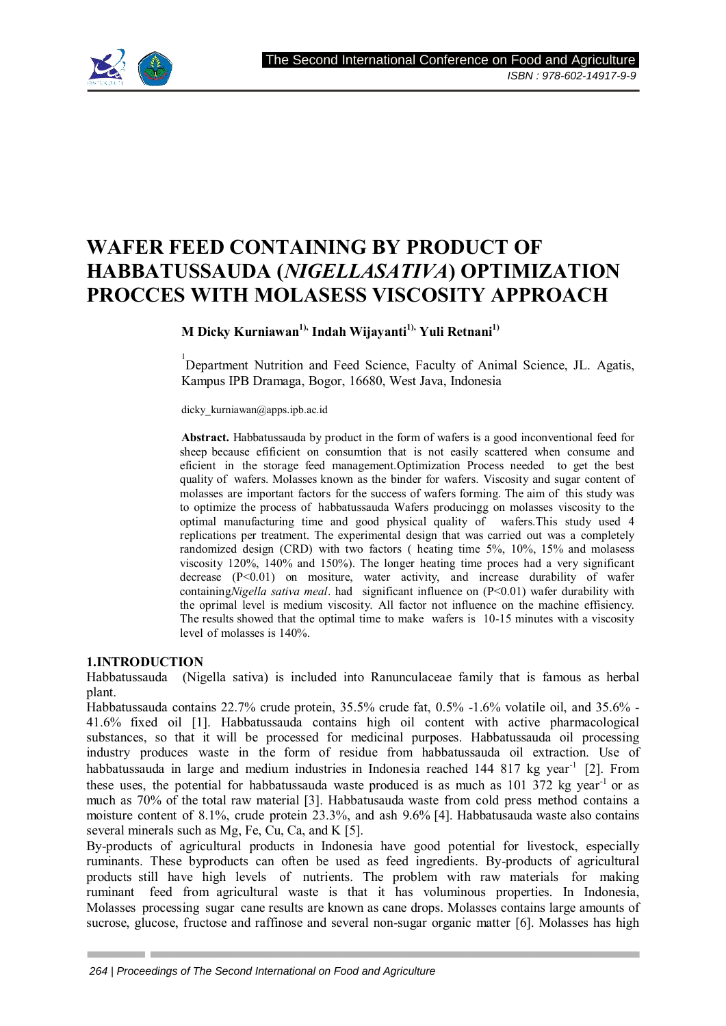

# **WAFER FEED CONTAINING BY PRODUCT OF HABBATUSSAUDA (***NIGELLASATIVA***) OPTIMIZATION PROCCES WITH MOLASESS VISCOSITY APPROACH**

**M Dicky Kurniawan1), Indah Wijayanti1), Yuli Retnani1)**

<sup>1</sup>Department Nutrition and Feed Science, Faculty of Animal Science, JL. Agatis, Kampus IPB Dramaga, Bogor, 16680, West Java, Indonesia

dicky kurniawan@apps.ipb.ac.id

**Abstract.** Habbatussauda by product in the form of wafers is a good inconventional feed for sheep because efificient on consumtion that is not easily scattered when consume and eficient in the storage feed management.Optimization Process needed to get the best quality of wafers. Molasses known as the binder for wafers. Viscosity and sugar content of molasses are important factors for the success of wafers forming. The aim of this study was to optimize the process of habbatussauda Wafers producingg on molasses viscosity to the optimal manufacturing time and good physical quality of wafers.This study used 4 replications per treatment. The experimental design that was carried out was a completely randomized design (CRD) with two factors ( heating time 5%, 10%, 15% and molasess viscosity 120%, 140% and 150%). The longer heating time proces had a very significant decrease  $(P<0.01)$  on mositure, water activity, and increase durability of wafer containing*Nigella sativa meal*. had significant influence on (P<0.01) wafer durability with the oprimal level is medium viscosity. All factor not influence on the machine effisiency. The results showed that the optimal time to make wafers is 10-15 minutes with a viscosity level of molasses is 140%.

#### **1.INTRODUCTION**

Habbatussauda (Nigella sativa) is included into Ranunculaceae family that is famous as herbal plant.

Habbatussauda contains 22.7% crude protein, 35.5% crude fat, 0.5% -1.6% volatile oil, and 35.6% - 41.6% fixed oil [1]. Habbatussauda contains high oil content with active pharmacological substances, so that it will be processed for medicinal purposes. Habbatussauda oil processing industry produces waste in the form of residue from habbatussauda oil extraction. Use of habbatussauda in large and medium industries in Indonesia reached 144 817 kg year<sup>-1</sup> [2]. From these uses, the potential for habbatussauda waste produced is as much as  $101\,372$  kg year<sup>-1</sup> or as much as 70% of the total raw material [3]. Habbatusauda waste from cold press method contains a moisture content of 8.1%, crude protein 23.3%, and ash 9.6% [4]. Habbatusauda waste also contains several minerals such as Mg, Fe, Cu, Ca, and K [5].

By-products of agricultural products in Indonesia have good potential for livestock, especially ruminants. These byproducts can often be used as feed ingredients. By-products of agricultural products still have high levels of nutrients. The problem with raw materials for making ruminant feed from agricultural waste is that it has voluminous properties. In Indonesia, Molasses processing sugar cane results are known as cane drops. Molasses contains large amounts of sucrose, glucose, fructose and raffinose and several non-sugar organic matter [6]. Molasses has high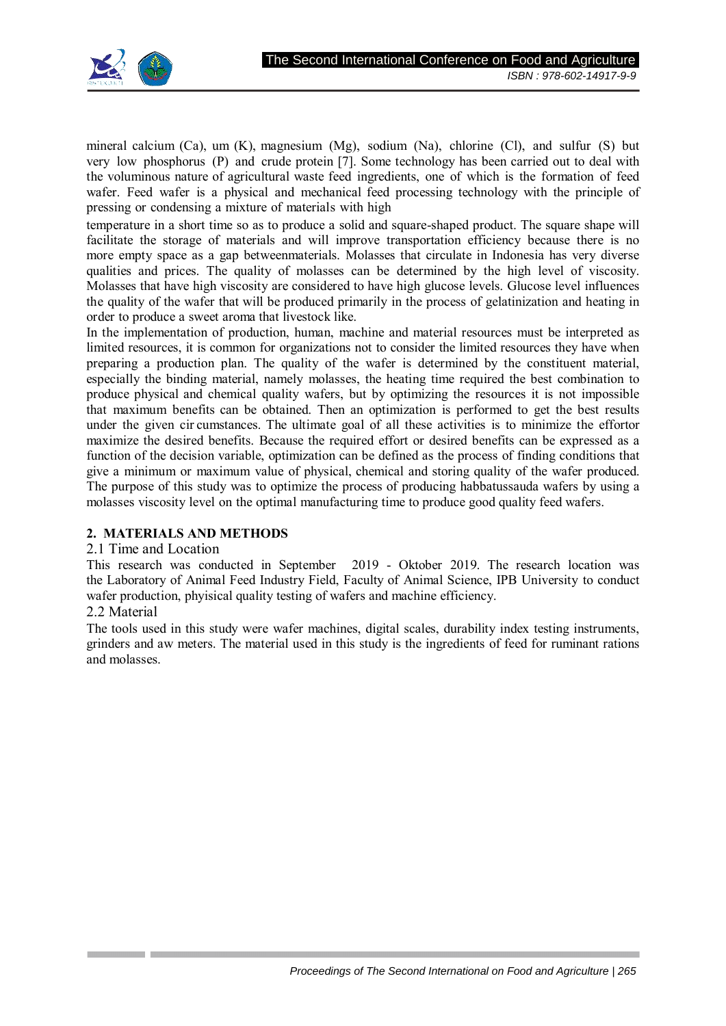

mineral calcium (Ca), um  $(K)$ , magnesium  $(Mg)$ , sodium  $(Na)$ , chlorine  $(Cl)$ , and sulfur  $(S)$  but very low phosphorus (P) and crude protein [7]. Some technology has been carried out to deal with the voluminous nature of agricultural waste feed ingredients, one of which is the formation of feed wafer. Feed wafer is a physical and mechanical feed processing technology with the principle of pressing or condensing a mixture of materials with high

temperature in a short time so as to produce a solid and square-shaped product. The square shape will facilitate the storage of materials and will improve transportation efficiency because there is no more empty space as a gap betweenmaterials. Molasses that circulate in Indonesia has very diverse qualities and prices. The quality of molasses can be determined by the high level of viscosity. Molasses that have high viscosity are considered to have high glucose levels. Glucose level influences the quality of the wafer that will be produced primarily in the process of gelatinization and heating in order to produce a sweet aroma that livestock like.

In the implementation of production, human, machine and material resources must be interpreted as limited resources, it is common for organizations not to consider the limited resources they have when preparing a production plan. The quality of the wafer is determined by the constituent material, especially the binding material, namely molasses, the heating time required the best combination to produce physical and chemical quality wafers, but by optimizing the resources it is not impossible that maximum benefits can be obtained. Then an optimization is performed to get the best results under the given cir cumstances. The ultimate goal of all these activities is to minimize the effortor maximize the desired benefits. Because the required effort or desired benefits can be expressed as a function of the decision variable, optimization can be defined as the process of finding conditions that give a minimum or maximum value of physical, chemical and storing quality of the wafer produced. The purpose of this study was to optimize the process of producing habbatussauda wafers by using a molasses viscosity level on the optimal manufacturing time to produce good quality feed wafers.

# **2. MATERIALS AND METHODS**

## 2.1 Time and Location

This research was conducted in September 2019 - Oktober 2019. The research location was the Laboratory of Animal Feed Industry Field, Faculty of Animal Science, IPB University to conduct wafer production, phyisical quality testing of wafers and machine efficiency.

# 2.2 Material

The tools used in this study were wafer machines, digital scales, durability index testing instruments, grinders and aw meters. The material used in this study is the ingredients of feed for ruminant rations and molasses.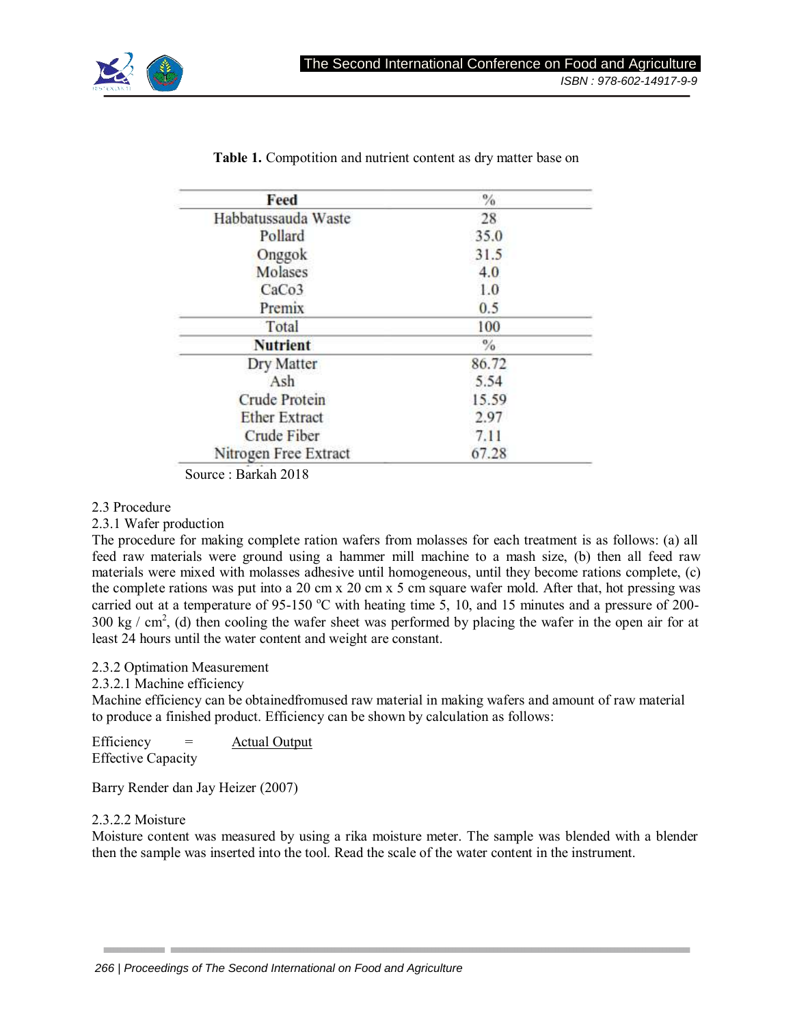

| Feed                  | $\frac{9}{6}$ |
|-----------------------|---------------|
| Habbatussauda Waste   | 28            |
| Pollard               | 35.0          |
| Onggok                | 31.5          |
| Molases               | 4.0           |
| CaCo <sub>3</sub>     | 1.0           |
| Premix                | 0.5           |
| Total                 | 100           |
| <b>Nutrient</b>       | $\frac{6}{6}$ |
| Dry Matter            | 86.72         |
| Ash                   | 5.54          |
| <b>Crude Protein</b>  | 15.59         |
| <b>Ether Extract</b>  | 2.97          |
| Crude Fiber           | 7.11          |
| Nitrogen Free Extract | 67.28         |

**Table 1.** Compotition and nutrient content as dry matter base on

Source : Barkah 2018

#### 2.3 Procedure

2.3.1 Wafer production

The procedure for making complete ration wafers from molasses for each treatment is as follows: (a) all feed raw materials were ground using a hammer mill machine to a mash size, (b) then all feed raw materials were mixed with molasses adhesive until homogeneous, until they become rations complete, (c) the complete rations was put into a 20 cm x 20 cm x 5 cm square wafer mold. After that, hot pressing was carried out at a temperature of 95-150 °C with heating time 5, 10, and 15 minutes and a pressure of 200-300 kg / cm<sup>2</sup>, (d) then cooling the wafer sheet was performed by placing the wafer in the open air for at least 24 hours until the water content and weight are constant.

## 2.3.2 Optimation Measurement

2.3.2.1 Machine efficiency

Machine efficiency can be obtainedfromused raw material in making wafers and amount of raw material to produce a finished product. Efficiency can be shown by calculation as follows:

Efficiency = Actual Output Effective Capacity

Barry Render dan Jay Heizer (2007)

## 2.3.2.2 Moisture

Moisture content was measured by using a rika moisture meter. The sample was blended with a blender then the sample was inserted into the tool. Read the scale of the water content in the instrument.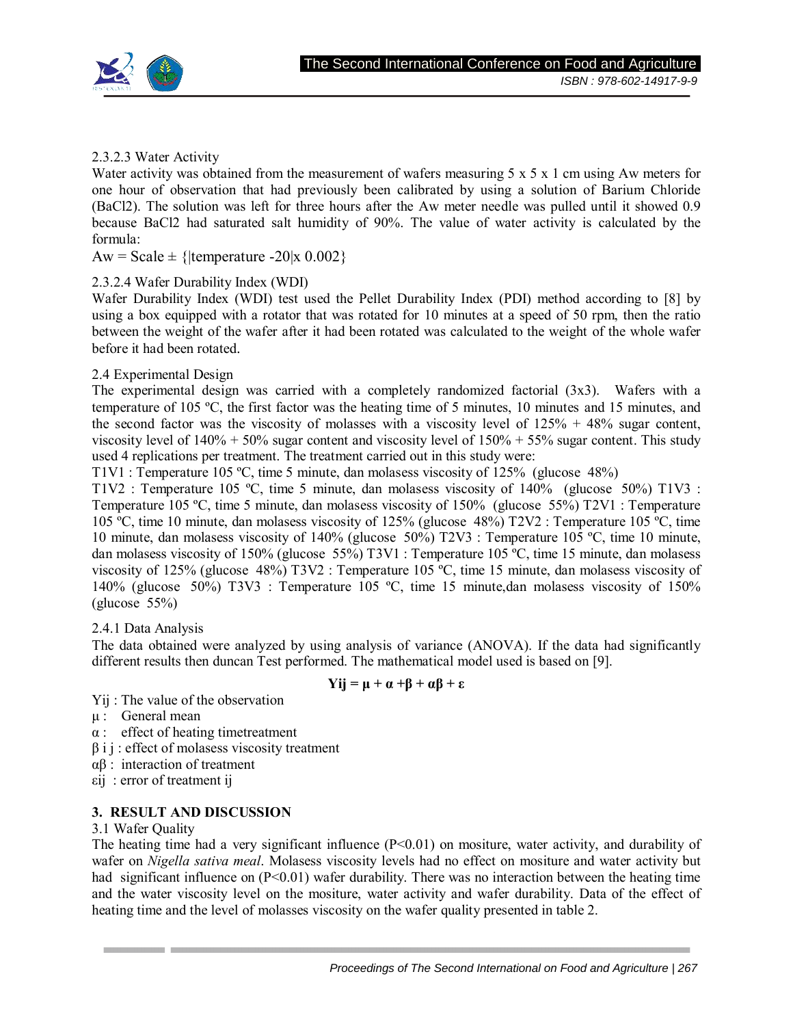

# 2.3.2.3 Water Activity

Water activity was obtained from the measurement of wafers measuring  $5 \times 5 \times 1$  cm using Aw meters for one hour of observation that had previously been calibrated by using a solution of Barium Chloride (BaCl2). The solution was left for three hours after the Aw meter needle was pulled until it showed 0.9 because BaCl2 had saturated salt humidity of 90%. The value of water activity is calculated by the formula:

Aw = Scale  $\pm$  {|temperature -20|x 0.002}

# 2.3.2.4 Wafer Durability Index (WDI)

Wafer Durability Index (WDI) test used the Pellet Durability Index (PDI) method according to [8] by using a box equipped with a rotator that was rotated for 10 minutes at a speed of 50 rpm, then the ratio between the weight of the wafer after it had been rotated was calculated to the weight of the whole wafer before it had been rotated.

# 2.4 Experimental Design

The experimental design was carried with a completely randomized factorial (3x3). Wafers with a temperature of 105 ºC, the first factor was the heating time of 5 minutes, 10 minutes and 15 minutes, and the second factor was the viscosity of molasses with a viscosity level of  $125% + 48%$  sugar content, viscosity level of  $140\% + 50\%$  sugar content and viscosity level of  $150\% + 55\%$  sugar content. This study used 4 replications per treatment. The treatment carried out in this study were:

T1V1 : Temperature 105 ºC, time 5 minute, dan molasess viscosity of 125% (glucose 48%)

T1V2 : Temperature 105 ºC, time 5 minute, dan molasess viscosity of 140% (glucose 50%) T1V3 : Temperature 105 ºC, time 5 minute, dan molasess viscosity of 150% (glucose 55%) T2V1 : Temperature 105 °C, time 10 minute, dan molasess viscosity of 125% (glucose 48%)  $T2V2$ : Temperature 105 °C, time 10 minute, dan molasess viscosity of 140% (glucose 50%) T2V3 : Temperature 105 ºC, time 10 minute, dan molasess viscosity of 150% (glucose 55%) T3V1 : Temperature 105 ºC, time 15 minute, dan molasess viscosity of 125% (glucose 48%) T3V2 : Temperature 105 ºC, time 15 minute, dan molasess viscosity of 140% (glucose 50%) T3V3 : Temperature 105 ºC, time 15 minute,dan molasess viscosity of 150% (glucose 55%)

## 2.4.1 Data Analysis

The data obtained were analyzed by using analysis of variance (ANOVA). If the data had significantly different results then duncan Test performed. The mathematical model used is based on [9].

# **Yij = μ + α +β + αβ + ε**

- Yij : The value of the observation
- μ : General mean
- α : effect of heating timetreatment
- $\beta$  i j : effect of molasess viscosity treatment
- αβ : interaction of treatment
- εij : error of treatment ij

# **3. RESULT AND DISCUSSION**

## 3.1 Wafer Quality

The heating time had a very significant influence  $(P<0.01)$  on mositure, water activity, and durability of wafer on *Nigella sativa meal*. Molasess viscosity levels had no effect on mositure and water activity but had significant influence on  $(P<0.01)$  wafer durability. There was no interaction between the heating time and the water viscosity level on the mositure, water activity and wafer durability. Data of the effect of heating time and the level of molasses viscosity on the wafer quality presented in table 2.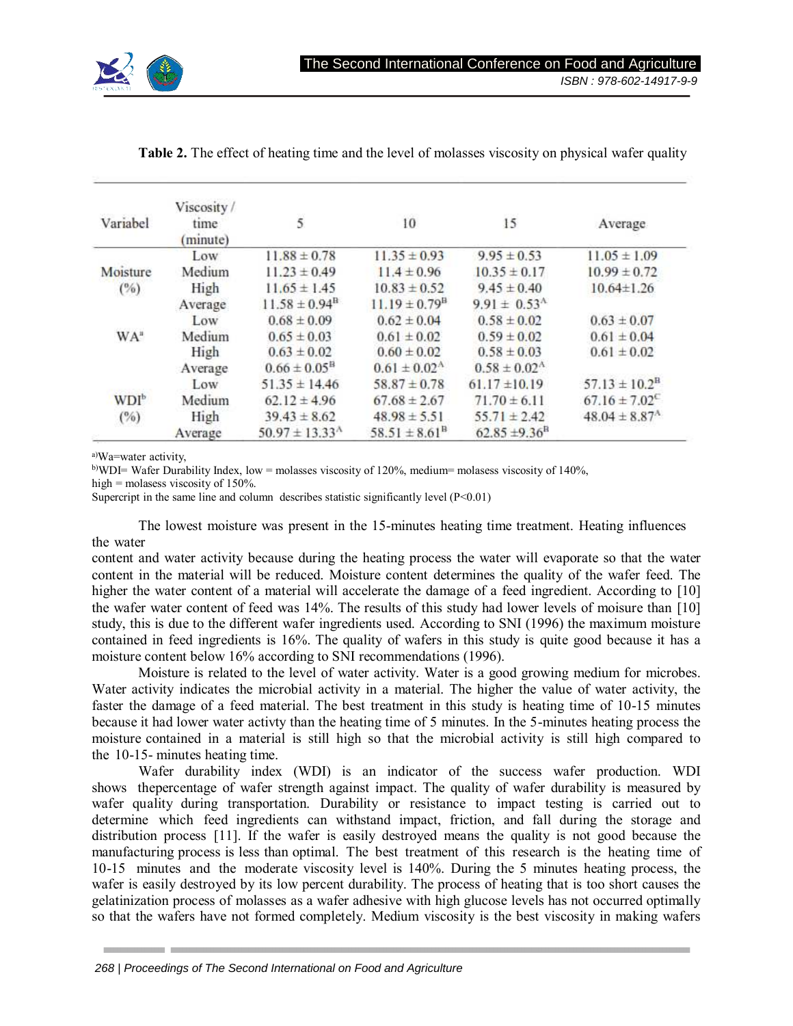

| Variabel         | Viscosity/<br>time<br>(minute) | $\overline{\mathbf{5}}$      | 10                          | 15                          | Average                       |
|------------------|--------------------------------|------------------------------|-----------------------------|-----------------------------|-------------------------------|
|                  | Low                            | $11.88 \pm 0.78$             | $11.35 \pm 0.93$            | $9.95 \pm 0.53$             | $11.05 \pm 1.09$              |
| Moisture         | Medium                         | $11.23 \pm 0.49$             | $11.4 \pm 0.96$             | $10.35 \pm 0.17$            | $10.99 \pm 0.72$              |
| $(^{0}/_{0})$    | High                           | $11.65 \pm 1.45$             | $10.83 \pm 0.52$            | $9.45 \pm 0.40$             | $10.64 \pm 1.26$              |
|                  | Average                        | $11.58 \pm 0.94^{\text{B}}$  | $11.19 \pm 0.79^{\text{B}}$ | $9.91 \pm 0.53^{\text{A}}$  |                               |
|                  | Low                            | $0.68 \pm 0.09$              | $0.62 \pm 0.04$             | $0.58 \pm 0.02$             | $0.63 \pm 0.07$               |
| WA <sup>a</sup>  | Medium                         | $0.65 \pm 0.03$              | $0.61 \pm 0.02$             | $0.59 \pm 0.02$             | $0.61 \pm 0.04$               |
|                  | High                           | $0.63 \pm 0.02$              | $0.60 \pm 0.02$             | $0.58 \pm 0.03$             | $0.61 \pm 0.02$               |
|                  | Average                        | $0.66 \pm 0.05^{\text{B}}$   | $0.61 \pm 0.02^{\text{A}}$  | $0.58 \pm 0.02^{\rm A}$     |                               |
|                  | Low                            | $51.35 \pm 14.46$            | $58.87 \pm 0.78$            | $61.17 \pm 10.19$           | $57.13 \pm 10.2^{\text{B}}$   |
| WDI <sup>b</sup> | Medium                         | $62.12 \pm 4.96$             | $67.68 \pm 2.67$            | $71.70 \pm 6.11$            | $67.16 \pm 7.02$ <sup>C</sup> |
| (%)              | High                           | $39.43 \pm 8.62$             | $48.98 \pm 5.51$            | $55.71 \pm 2.42$            | $48.04 \pm 8.87^{\text{A}}$   |
|                  | Average                        | $50.97 \pm 13.33^{\text{A}}$ | $58.51 \pm 8.61^{\text{B}}$ | $62.85 \pm 9.36^{\text{B}}$ |                               |

**Table 2.** The effect of heating time and the level of molasses viscosity on physical wafer quality

a)Wa=water activity,

b)WDI= Wafer Durability Index, low = molasses viscosity of 120%, medium= molasess viscosity of 140%,

high = molasess viscosity of 150%.

Supercript in the same line and column describes statistic significantly level  $(P<0.01)$ 

The lowest moisture was present in the 15-minutes heating time treatment. Heating influences the water

content and water activity because during the heating process the water will evaporate so that the water content in the material will be reduced. Moisture content determines the quality of the wafer feed. The higher the water content of a material will accelerate the damage of a feed ingredient. According to [10] the wafer water content of feed was 14%. The results of this study had lower levels of moisure than [10] study, this is due to the different wafer ingredients used. According to SNI (1996) the maximum moisture contained in feed ingredients is 16%. The quality of wafers in this study is quite good because it has a moisture content below 16% according to SNI recommendations (1996).

Moisture is related to the level of water activity. Water is a good growing medium for microbes. Water activity indicates the microbial activity in a material. The higher the value of water activity, the faster the damage of a feed material. The best treatment in this study is heating time of 10-15 minutes because it had lower water activty than the heating time of 5 minutes. In the 5-minutes heating process the moisture contained in a material is still high so that the microbial activity is still high compared to the 10-15- minutes heating time.

Wafer durability index (WDI) is an indicator of the success wafer production. WDI shows thepercentage of wafer strength against impact. The quality of wafer durability is measured by wafer quality during transportation. Durability or resistance to impact testing is carried out to determine which feed ingredients can withstand impact, friction, and fall during the storage and distribution process [11]. If the wafer is easily destroyed means the quality is not good because the manufacturing process is less than optimal. The best treatment of this research is the heating time of 10-15 minutes and the moderate viscosity level is 140%. During the 5 minutes heating process, the wafer is easily destroyed by its low percent durability. The process of heating that is too short causes the gelatinization process of molasses as a wafer adhesive with high glucose levels has not occurred optimally so that the wafers have not formed completely. Medium viscosity is the best viscosity in making wafers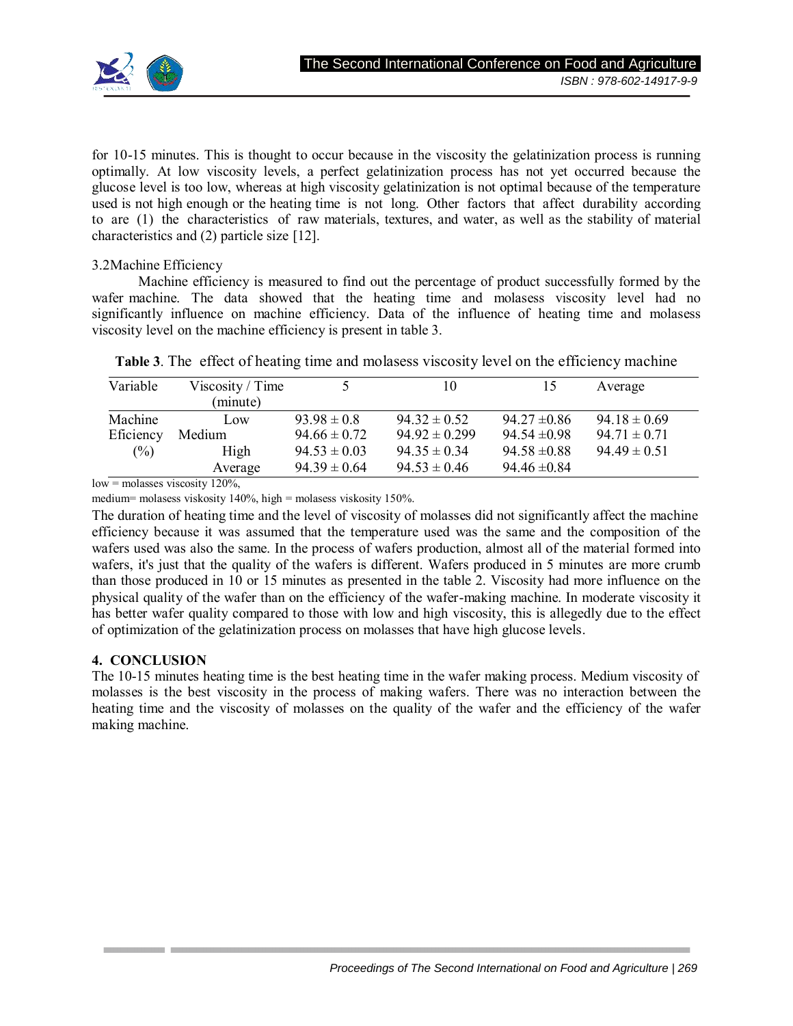for 10-15 minutes. This is thought to occur because in the viscosity the gelatinization process is running optimally. At low viscosity levels, a perfect gelatinization process has not yet occurred because the glucose level is too low, whereas at high viscosity gelatinization is not optimal because of the temperature used is not high enough or the heating time is not long. Other factors that affect durability according to are (1) the characteristics of raw materials, textures, and water, as well as the stability of material characteristics and (2) particle size [12].

3.2Machine Efficiency

Machine efficiency is measured to find out the percentage of product successfully formed by the wafer machine. The data showed that the heating time and molasess viscosity level had no significantly influence on machine efficiency. Data of the influence of heating time and molasess viscosity level on the machine efficiency is present in table 3.

|  | <b>Table 3.</b> The effect of heating time and molasess viscosity level on the efficiency machine |  |  |  |  |  |
|--|---------------------------------------------------------------------------------------------------|--|--|--|--|--|
|--|---------------------------------------------------------------------------------------------------|--|--|--|--|--|

| Variable  | Viscosity / Time |                  | 10                | 15               | Average          |
|-----------|------------------|------------------|-------------------|------------------|------------------|
|           | (minute)         |                  |                   |                  |                  |
| Machine   | $_{\text{low}}$  | $93.98 \pm 0.8$  | $94.32 \pm 0.52$  | $94.27 \pm 0.86$ | $94.18 \pm 0.69$ |
| Eficiency | Medium           | $94.66 \pm 0.72$ | $94.92 \pm 0.299$ | $94.54 \pm 0.98$ | $94.71 \pm 0.71$ |
| (%)       | High             | $94.53 \pm 0.03$ | $94.35 \pm 0.34$  | $94.58 \pm 0.88$ | $94.49 \pm 0.51$ |
|           | Average          | $94.39 \pm 0.64$ | $94.53 \pm 0.46$  | $94.46 \pm 0.84$ |                  |

 $low = molasses$  viscosity 120%,

medium= molasess viskosity 140%, high = molasess viskosity 150%.

The duration of heating time and the level of viscosity of molasses did not significantly affect the machine efficiency because it was assumed that the temperature used was the same and the composition of the wafers used was also the same. In the process of wafers production, almost all of the material formed into wafers, it's just that the quality of the wafers is different. Wafers produced in 5 minutes are more crumb than those produced in 10 or 15 minutes as presented in the table 2. Viscosity had more influence on the physical quality of the wafer than on the efficiency of the wafer-making machine. In moderate viscosity it has better wafer quality compared to those with low and high viscosity, this is allegedly due to the effect of optimization of the gelatinization process on molasses that have high glucose levels.

# **4. CONCLUSION**

The 10-15 minutes heating time is the best heating time in the wafer making process. Medium viscosity of molasses is the best viscosity in the process of making wafers. There was no interaction between the heating time and the viscosity of molasses on the quality of the wafer and the efficiency of the wafer making machine.